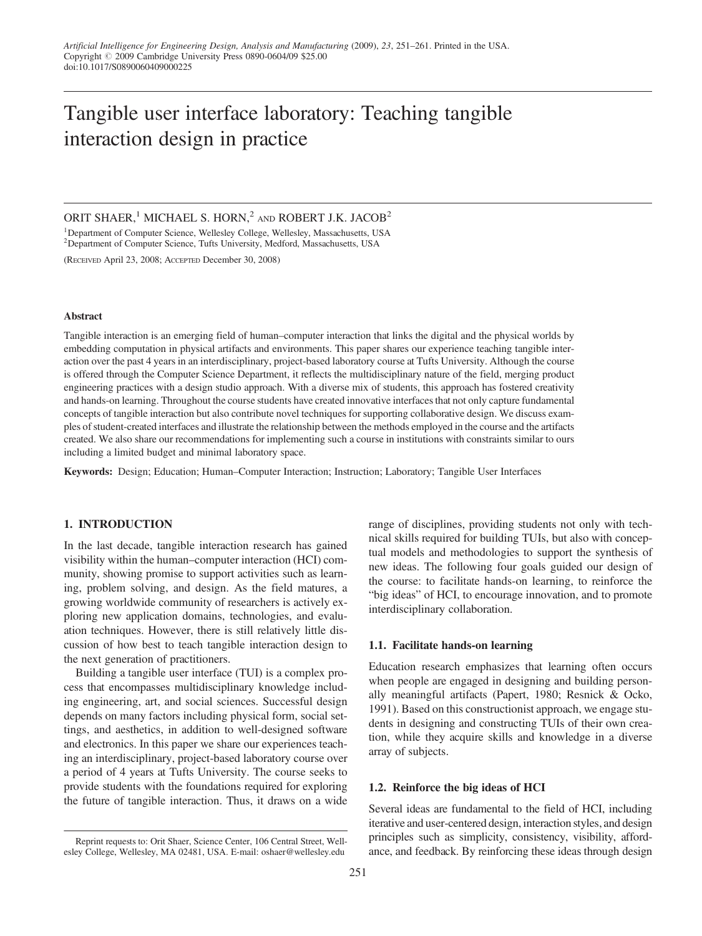# Tangible user interface laboratory: Teaching tangible interaction design in practice

ORIT SHAER,<sup>1</sup> MICHAEL S. HORN,<sup>2</sup> AND ROBERT J.K. JACOB<sup>2</sup>

<sup>1</sup>Department of Computer Science, Wellesley College, Wellesley, Massachusetts, USA <sup>2</sup>Department of Computer Science, Tufts University, Medford, Massachusetts, USA

(RECEIVED April 23, 2008; ACCEPTED December 30, 2008)

#### Abstract

Tangible interaction is an emerging field of human–computer interaction that links the digital and the physical worlds by embedding computation in physical artifacts and environments. This paper shares our experience teaching tangible interaction over the past 4 years in an interdisciplinary, project-based laboratory course at Tufts University. Although the course is offered through the Computer Science Department, it reflects the multidisciplinary nature of the field, merging product engineering practices with a design studio approach. With a diverse mix of students, this approach has fostered creativity and hands-on learning. Throughout the course students have created innovative interfaces that not only capture fundamental concepts of tangible interaction but also contribute novel techniques for supporting collaborative design. We discuss examples of student-created interfaces and illustrate the relationship between the methods employed in the course and the artifacts created. We also share our recommendations for implementing such a course in institutions with constraints similar to ours including a limited budget and minimal laboratory space.

Keywords: Design; Education; Human–Computer Interaction; Instruction; Laboratory; Tangible User Interfaces

# 1. INTRODUCTION

In the last decade, tangible interaction research has gained visibility within the human–computer interaction (HCI) community, showing promise to support activities such as learning, problem solving, and design. As the field matures, a growing worldwide community of researchers is actively exploring new application domains, technologies, and evaluation techniques. However, there is still relatively little discussion of how best to teach tangible interaction design to the next generation of practitioners.

Building a tangible user interface (TUI) is a complex process that encompasses multidisciplinary knowledge including engineering, art, and social sciences. Successful design depends on many factors including physical form, social settings, and aesthetics, in addition to well-designed software and electronics. In this paper we share our experiences teaching an interdisciplinary, project-based laboratory course over a period of 4 years at Tufts University. The course seeks to provide students with the foundations required for exploring the future of tangible interaction. Thus, it draws on a wide

range of disciplines, providing students not only with technical skills required for building TUIs, but also with conceptual models and methodologies to support the synthesis of new ideas. The following four goals guided our design of the course: to facilitate hands-on learning, to reinforce the "big ideas" of HCI, to encourage innovation, and to promote interdisciplinary collaboration.

## 1.1. Facilitate hands-on learning

Education research emphasizes that learning often occurs when people are engaged in designing and building personally meaningful artifacts (Papert, 1980; Resnick & Ocko, 1991). Based on this constructionist approach, we engage students in designing and constructing TUIs of their own creation, while they acquire skills and knowledge in a diverse array of subjects.

# 1.2. Reinforce the big ideas of HCI

Several ideas are fundamental to the field of HCI, including iterative and user-centered design, interaction styles, and design principles such as simplicity, consistency, visibility, affordance, and feedback. By reinforcing these ideas through design

Reprint requests to: Orit Shaer, Science Center, 106 Central Street, Wellesley College, Wellesley, MA 02481, USA. E-mail: oshaer@wellesley.edu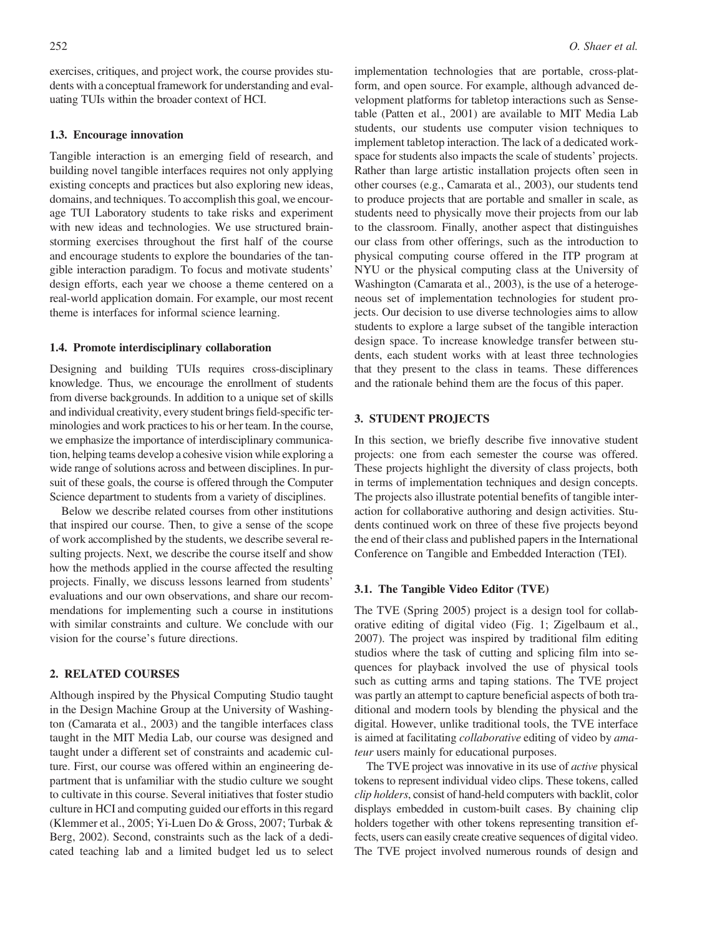exercises, critiques, and project work, the course provides students with a conceptual framework for understanding and evaluating TUIs within the broader context of HCI.

## 1.3. Encourage innovation

Tangible interaction is an emerging field of research, and building novel tangible interfaces requires not only applying existing concepts and practices but also exploring new ideas, domains, and techniques. To accomplish this goal, we encourage TUI Laboratory students to take risks and experiment with new ideas and technologies. We use structured brainstorming exercises throughout the first half of the course and encourage students to explore the boundaries of the tangible interaction paradigm. To focus and motivate students' design efforts, each year we choose a theme centered on a real-world application domain. For example, our most recent theme is interfaces for informal science learning.

#### 1.4. Promote interdisciplinary collaboration

Designing and building TUIs requires cross-disciplinary knowledge. Thus, we encourage the enrollment of students from diverse backgrounds. In addition to a unique set of skills and individual creativity, every student brings field-specific terminologies and work practices to his or her team. In the course, we emphasize the importance of interdisciplinary communication, helping teams develop a cohesive vision while exploring a wide range of solutions across and between disciplines. In pursuit of these goals, the course is offered through the Computer Science department to students from a variety of disciplines.

Below we describe related courses from other institutions that inspired our course. Then, to give a sense of the scope of work accomplished by the students, we describe several resulting projects. Next, we describe the course itself and show how the methods applied in the course affected the resulting projects. Finally, we discuss lessons learned from students' evaluations and our own observations, and share our recommendations for implementing such a course in institutions with similar constraints and culture. We conclude with our vision for the course's future directions.

# 2. RELATED COURSES

Although inspired by the Physical Computing Studio taught in the Design Machine Group at the University of Washington (Camarata et al., 2003) and the tangible interfaces class taught in the MIT Media Lab, our course was designed and taught under a different set of constraints and academic culture. First, our course was offered within an engineering department that is unfamiliar with the studio culture we sought to cultivate in this course. Several initiatives that foster studio culture in HCI and computing guided our efforts in this regard (Klemmer et al., 2005; Yi-Luen Do & Gross, 2007; Turbak & Berg, 2002). Second, constraints such as the lack of a dedicated teaching lab and a limited budget led us to select

implementation technologies that are portable, cross-platform, and open source. For example, although advanced development platforms for tabletop interactions such as Sensetable (Patten et al., 2001) are available to MIT Media Lab students, our students use computer vision techniques to implement tabletop interaction. The lack of a dedicated workspace for students also impacts the scale of students' projects. Rather than large artistic installation projects often seen in other courses (e.g., Camarata et al., 2003), our students tend to produce projects that are portable and smaller in scale, as students need to physically move their projects from our lab to the classroom. Finally, another aspect that distinguishes our class from other offerings, such as the introduction to physical computing course offered in the ITP program at NYU or the physical computing class at the University of Washington (Camarata et al., 2003), is the use of a heterogeneous set of implementation technologies for student projects. Our decision to use diverse technologies aims to allow students to explore a large subset of the tangible interaction design space. To increase knowledge transfer between students, each student works with at least three technologies that they present to the class in teams. These differences and the rationale behind them are the focus of this paper.

# 3. STUDENT PROJECTS

In this section, we briefly describe five innovative student projects: one from each semester the course was offered. These projects highlight the diversity of class projects, both in terms of implementation techniques and design concepts. The projects also illustrate potential benefits of tangible interaction for collaborative authoring and design activities. Students continued work on three of these five projects beyond the end of their class and published papers in the International Conference on Tangible and Embedded Interaction (TEI).

#### 3.1. The Tangible Video Editor (TVE)

The TVE (Spring 2005) project is a design tool for collaborative editing of digital video (Fig. 1; Zigelbaum et al., 2007). The project was inspired by traditional film editing studios where the task of cutting and splicing film into sequences for playback involved the use of physical tools such as cutting arms and taping stations. The TVE project was partly an attempt to capture beneficial aspects of both traditional and modern tools by blending the physical and the digital. However, unlike traditional tools, the TVE interface is aimed at facilitating *collaborative* editing of video by *ama*teur users mainly for educational purposes.

The TVE project was innovative in its use of *active* physical tokens to represent individual video clips. These tokens, called clip holders, consist of hand-held computers with backlit, color displays embedded in custom-built cases. By chaining clip holders together with other tokens representing transition effects, users can easily create creative sequences of digital video. The TVE project involved numerous rounds of design and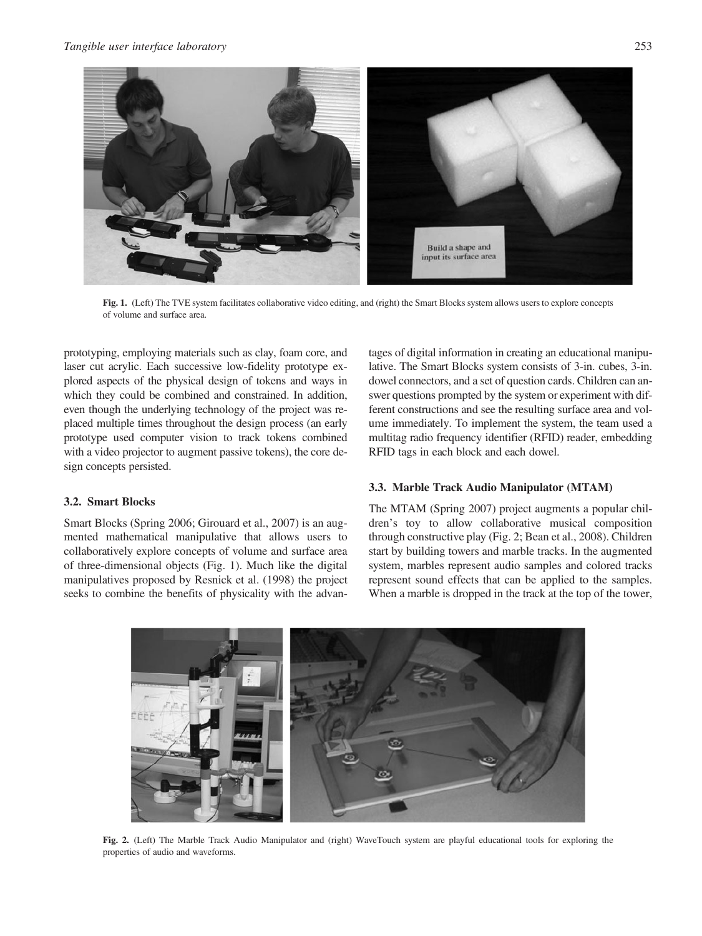

Fig. 1. (Left) The TVE system facilitates collaborative video editing, and (right) the Smart Blocks system allows users to explore concepts of volume and surface area.

prototyping, employing materials such as clay, foam core, and laser cut acrylic. Each successive low-fidelity prototype explored aspects of the physical design of tokens and ways in which they could be combined and constrained. In addition, even though the underlying technology of the project was replaced multiple times throughout the design process (an early prototype used computer vision to track tokens combined with a video projector to augment passive tokens), the core design concepts persisted.

## 3.2. Smart Blocks

Smart Blocks (Spring 2006; Girouard et al., 2007) is an augmented mathematical manipulative that allows users to collaboratively explore concepts of volume and surface area of three-dimensional objects (Fig. 1). Much like the digital manipulatives proposed by Resnick et al. (1998) the project seeks to combine the benefits of physicality with the advantages of digital information in creating an educational manipulative. The Smart Blocks system consists of 3-in. cubes, 3-in. dowel connectors, and a set of question cards. Children can answer questions prompted by the system or experiment with different constructions and see the resulting surface area and volume immediately. To implement the system, the team used a multitag radio frequency identifier (RFID) reader, embedding RFID tags in each block and each dowel.

# 3.3. Marble Track Audio Manipulator (MTAM)

The MTAM (Spring 2007) project augments a popular children's toy to allow collaborative musical composition through constructive play (Fig. 2; Bean et al., 2008). Children start by building towers and marble tracks. In the augmented system, marbles represent audio samples and colored tracks represent sound effects that can be applied to the samples. When a marble is dropped in the track at the top of the tower,



Fig. 2. (Left) The Marble Track Audio Manipulator and (right) WaveTouch system are playful educational tools for exploring the properties of audio and waveforms.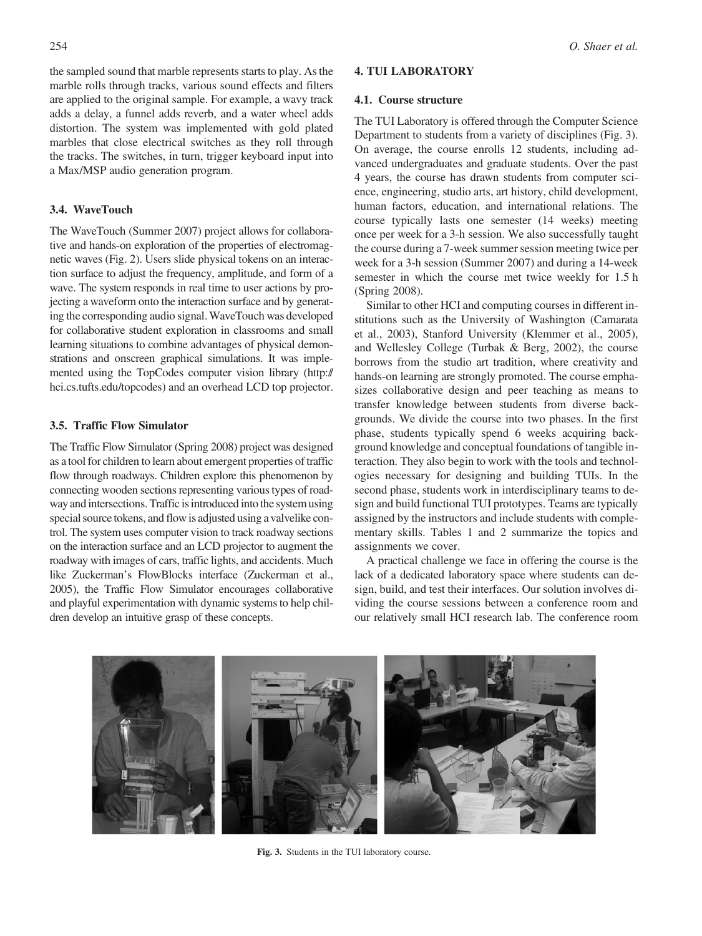the sampled sound that marble represents starts to play. As the marble rolls through tracks, various sound effects and filters are applied to the original sample. For example, a wavy track adds a delay, a funnel adds reverb, and a water wheel adds distortion. The system was implemented with gold plated marbles that close electrical switches as they roll through the tracks. The switches, in turn, trigger keyboard input into a Max/MSP audio generation program.

# 3.4. WaveTouch

The WaveTouch (Summer 2007) project allows for collaborative and hands-on exploration of the properties of electromagnetic waves (Fig. 2). Users slide physical tokens on an interaction surface to adjust the frequency, amplitude, and form of a wave. The system responds in real time to user actions by projecting a waveform onto the interaction surface and by generating the corresponding audio signal. WaveTouch was developed for collaborative student exploration in classrooms and small learning situations to combine advantages of physical demonstrations and onscreen graphical simulations. It was implemented using the TopCodes computer vision library (http:// hci.cs.tufts.edu/topcodes) and an overhead LCD top projector.

# 3.5. Traffic Flow Simulator

The Traffic Flow Simulator (Spring 2008) project was designed as a tool for children to learn about emergent properties of traffic flow through roadways. Children explore this phenomenon by connecting wooden sections representing various types of roadway and intersections. Traffic is introduced into the system using special source tokens, and flow is adjusted using avalvelike control. The system uses computer vision to track roadway sections on the interaction surface and an LCD projector to augment the roadway with images of cars, traffic lights, and accidents. Much like Zuckerman's FlowBlocks interface (Zuckerman et al., 2005), the Traffic Flow Simulator encourages collaborative and playful experimentation with dynamic systems to help children develop an intuitive grasp of these concepts.

## 4. TUI LABORATORY

## 4.1. Course structure

The TUI Laboratory is offered through the Computer Science Department to students from a variety of disciplines (Fig. 3). On average, the course enrolls 12 students, including advanced undergraduates and graduate students. Over the past 4 years, the course has drawn students from computer science, engineering, studio arts, art history, child development, human factors, education, and international relations. The course typically lasts one semester (14 weeks) meeting once per week for a 3-h session. We also successfully taught the course during a 7-week summer session meeting twice per week for a 3-h session (Summer 2007) and during a 14-week semester in which the course met twice weekly for 1.5 h (Spring 2008).

Similar to other HCI and computing courses in different institutions such as the University of Washington (Camarata et al., 2003), Stanford University (Klemmer et al., 2005), and Wellesley College (Turbak & Berg, 2002), the course borrows from the studio art tradition, where creativity and hands-on learning are strongly promoted. The course emphasizes collaborative design and peer teaching as means to transfer knowledge between students from diverse backgrounds. We divide the course into two phases. In the first phase, students typically spend 6 weeks acquiring background knowledge and conceptual foundations of tangible interaction. They also begin to work with the tools and technologies necessary for designing and building TUIs. In the second phase, students work in interdisciplinary teams to design and build functional TUI prototypes. Teams are typically assigned by the instructors and include students with complementary skills. Tables 1 and 2 summarize the topics and assignments we cover.

A practical challenge we face in offering the course is the lack of a dedicated laboratory space where students can design, build, and test their interfaces. Our solution involves dividing the course sessions between a conference room and our relatively small HCI research lab. The conference room



Fig. 3. Students in the TUI laboratory course.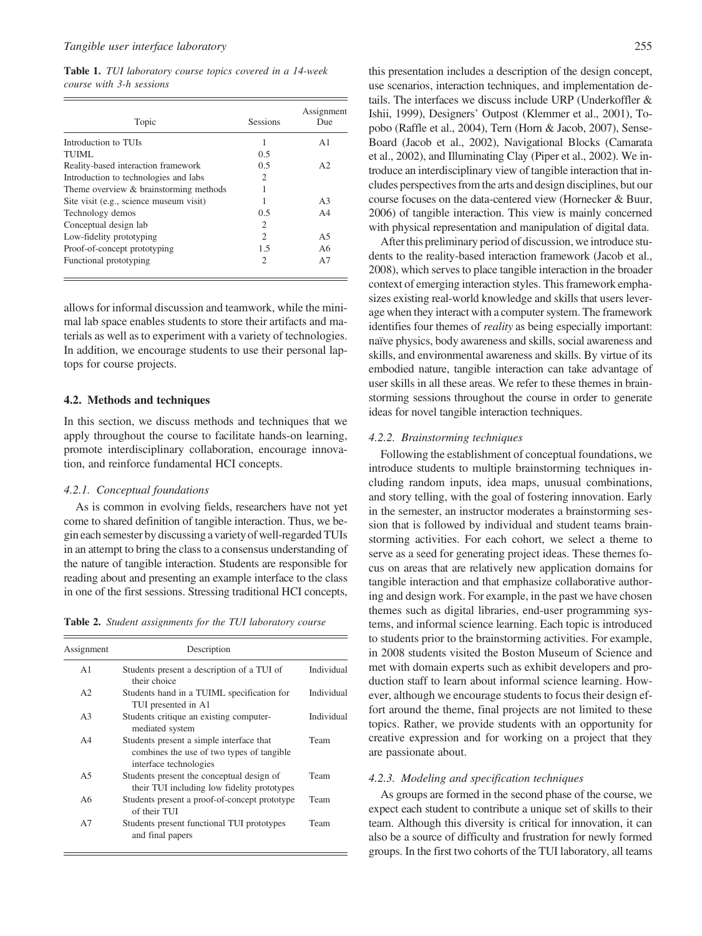Table 1. TUI laboratory course topics covered in a 14-week course with 3-h sessions

| Topic                                   | Sessions                    | Assignment<br>Due |  |
|-----------------------------------------|-----------------------------|-------------------|--|
| Introduction to TUIs                    |                             | A <sub>1</sub>    |  |
| TUIML                                   | 0.5                         |                   |  |
| Reality-based interaction framework     | 0.5                         | A2                |  |
| Introduction to technologies and labs   | 2                           |                   |  |
| Theme overview & brainstorming methods  |                             |                   |  |
| Site visit (e.g., science museum visit) |                             | A <sub>3</sub>    |  |
| Technology demos                        | 0.5                         | A <sub>4</sub>    |  |
| Conceptual design lab                   | $\mathcal{D}_{\mathcal{L}}$ |                   |  |
| Low-fidelity prototyping                | $\mathfrak{D}$              | A5                |  |
| Proof-of-concept prototyping            | 1.5                         | A6                |  |
| Functional prototyping                  | $\mathcal{D}_{\mathcal{A}}$ | A7                |  |

allows for informal discussion and teamwork, while the minimal lab space enables students to store their artifacts and materials as well as to experiment with a variety of technologies. In addition, we encourage students to use their personal laptops for course projects.

#### 4.2. Methods and techniques

In this section, we discuss methods and techniques that we apply throughout the course to facilitate hands-on learning, promote interdisciplinary collaboration, encourage innovation, and reinforce fundamental HCI concepts.

#### 4.2.1. Conceptual foundations

As is common in evolving fields, researchers have not yet come to shared definition of tangible interaction. Thus, we begin each semester by discussing a variety of well-regarded TUIs in an attempt to bring the class to a consensus understanding of the nature of tangible interaction. Students are responsible for reading about and presenting an example interface to the class in one of the first sessions. Stressing traditional HCI concepts,

Table 2. Student assignments for the TUI laboratory course

| Assignment     | Description                                                                                                     |            |  |  |  |
|----------------|-----------------------------------------------------------------------------------------------------------------|------------|--|--|--|
| A1             | Students present a description of a TUI of<br>their choice                                                      | Individual |  |  |  |
| A2             | Students hand in a TUIML specification for<br>TUI presented in A1                                               | Individual |  |  |  |
| A <sub>3</sub> | Students critique an existing computer-<br>mediated system                                                      | Individual |  |  |  |
| AA             | Students present a simple interface that<br>combines the use of two types of tangible<br>interface technologies | Team       |  |  |  |
| A5             | Students present the conceptual design of<br>their TUI including low fidelity prototypes                        | Team       |  |  |  |
| A6             | Students present a proof-of-concept prototype<br>of their TUI                                                   | Team       |  |  |  |
| A7             | Students present functional TUI prototypes<br>and final papers                                                  | Team       |  |  |  |

this presentation includes a description of the design concept, use scenarios, interaction techniques, and implementation details. The interfaces we discuss include URP (Underkoffler & Ishii, 1999), Designers' Outpost (Klemmer et al., 2001), Topobo (Raffle et al., 2004), Tern (Horn & Jacob, 2007), Sense-Board (Jacob et al., 2002), Navigational Blocks (Camarata et al., 2002), and Illuminating Clay (Piper et al., 2002). We introduce an interdisciplinary view of tangible interaction that includes perspectives from the arts and design disciplines, but our course focuses on the data-centered view (Hornecker & Buur, 2006) of tangible interaction. This view is mainly concerned with physical representation and manipulation of digital data.

After this preliminary period of discussion, we introduce students to the reality-based interaction framework (Jacob et al., 2008), which serves to place tangible interaction in the broader context of emerging interaction styles. This framework emphasizes existing real-world knowledge and skills that users leverage when they interact with a computer system. The framework identifies four themes of reality as being especially important: naïve physics, body awareness and skills, social awareness and skills, and environmental awareness and skills. By virtue of its embodied nature, tangible interaction can take advantage of user skills in all these areas. We refer to these themes in brainstorming sessions throughout the course in order to generate ideas for novel tangible interaction techniques.

#### 4.2.2. Brainstorming techniques

Following the establishment of conceptual foundations, we introduce students to multiple brainstorming techniques including random inputs, idea maps, unusual combinations, and story telling, with the goal of fostering innovation. Early in the semester, an instructor moderates a brainstorming session that is followed by individual and student teams brainstorming activities. For each cohort, we select a theme to serve as a seed for generating project ideas. These themes focus on areas that are relatively new application domains for tangible interaction and that emphasize collaborative authoring and design work. For example, in the past we have chosen themes such as digital libraries, end-user programming systems, and informal science learning. Each topic is introduced to students prior to the brainstorming activities. For example, in 2008 students visited the Boston Museum of Science and met with domain experts such as exhibit developers and production staff to learn about informal science learning. However, although we encourage students to focus their design effort around the theme, final projects are not limited to these topics. Rather, we provide students with an opportunity for creative expression and for working on a project that they are passionate about.

#### 4.2.3. Modeling and specification techniques

As groups are formed in the second phase of the course, we expect each student to contribute a unique set of skills to their team. Although this diversity is critical for innovation, it can also be a source of difficulty and frustration for newly formed groups. In the first two cohorts of the TUI laboratory, all teams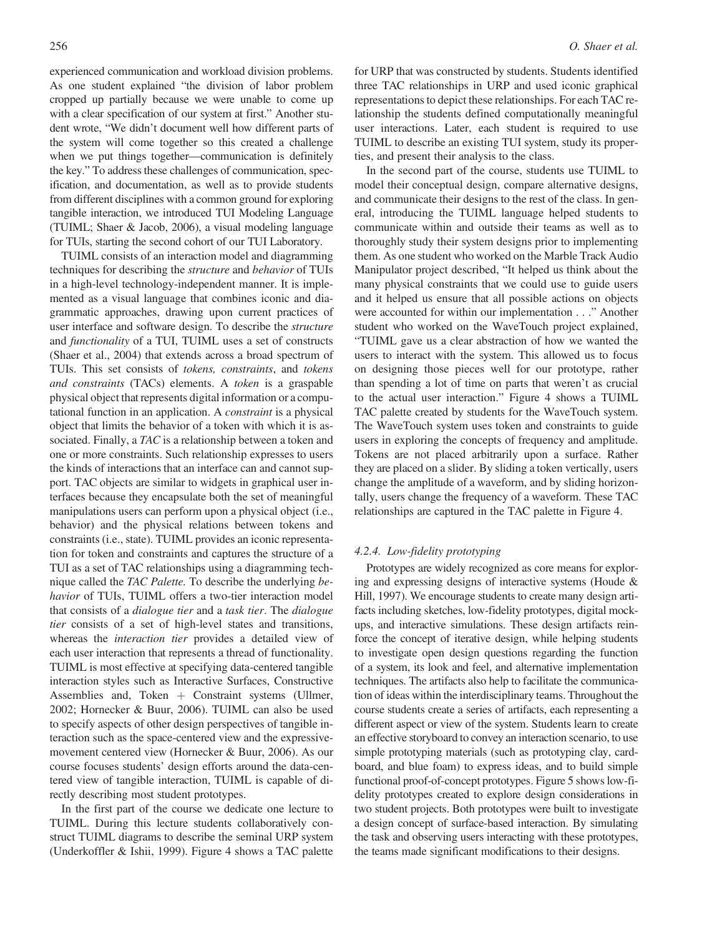experienced communication and workload division problems. As one student explained "the division of labor problem cropped up partially because we were unable to come up with a clear specification of our system at first." Another student wrote, "We didn't document well how different parts of the system will come together so this created a challenge when we put things together—communication is definitely the key." To address these challenges of communication, specification, and documentation, as well as to provide students from different disciplines with a common ground for exploring tangible interaction, we introduced TUI Modeling Language (TUIML; Shaer & Jacob, 2006), a visual modeling language for TUIs, starting the second cohort of our TUI Laboratory.

TUIML consists of an interaction model and diagramming techniques for describing the structure and behavior of TUIs in a high-level technology-independent manner. It is implemented as a visual language that combines iconic and diagrammatic approaches, drawing upon current practices of user interface and software design. To describe the structure and functionality of a TUI, TUIML uses a set of constructs (Shaer et al., 2004) that extends across a broad spectrum of TUIs. This set consists of tokens, constraints, and tokens and constraints (TACs) elements. A token is a graspable physical object that represents digital information or a computational function in an application. A constraint is a physical object that limits the behavior of a token with which it is associated. Finally, a TAC is a relationship between a token and one or more constraints. Such relationship expresses to users the kinds of interactions that an interface can and cannot support. TAC objects are similar to widgets in graphical user interfaces because they encapsulate both the set of meaningful manipulations users can perform upon a physical object (i.e., behavior) and the physical relations between tokens and constraints (i.e., state). TUIML provides an iconic representation for token and constraints and captures the structure of a TUI as a set of TAC relationships using a diagramming technique called the TAC Palette. To describe the underlying behavior of TUIs, TUIML offers a two-tier interaction model that consists of a dialogue tier and a task tier. The dialogue tier consists of a set of high-level states and transitions, whereas the interaction tier provides a detailed view of each user interaction that represents a thread of functionality. TUIML is most effective at specifying data-centered tangible interaction styles such as Interactive Surfaces, Constructive Assemblies and, Token  $+$  Constraint systems (Ullmer, 2002; Hornecker & Buur, 2006). TUIML can also be used to specify aspects of other design perspectives of tangible interaction such as the space-centered view and the expressivemovement centered view (Hornecker & Buur, 2006). As our course focuses students' design efforts around the data-centered view of tangible interaction, TUIML is capable of directly describing most student prototypes.

In the first part of the course we dedicate one lecture to TUIML. During this lecture students collaboratively construct TUIML diagrams to describe the seminal URP system (Underkoffler & Ishii, 1999). Figure 4 shows a TAC palette

for URP that was constructed by students. Students identified three TAC relationships in URP and used iconic graphical representations to depict these relationships. For each TAC relationship the students defined computationally meaningful user interactions. Later, each student is required to use TUIML to describe an existing TUI system, study its properties, and present their analysis to the class.

In the second part of the course, students use TUIML to model their conceptual design, compare alternative designs, and communicate their designs to the rest of the class. In general, introducing the TUIML language helped students to communicate within and outside their teams as well as to thoroughly study their system designs prior to implementing them. As one student who worked on the Marble Track Audio Manipulator project described, "It helped us think about the many physical constraints that we could use to guide users and it helped us ensure that all possible actions on objects were accounted for within our implementation . . ." Another student who worked on the WaveTouch project explained, "TUIML gave us a clear abstraction of how we wanted the users to interact with the system. This allowed us to focus on designing those pieces well for our prototype, rather than spending a lot of time on parts that weren't as crucial to the actual user interaction." Figure 4 shows a TUIML TAC palette created by students for the WaveTouch system. The WaveTouch system uses token and constraints to guide users in exploring the concepts of frequency and amplitude. Tokens are not placed arbitrarily upon a surface. Rather they are placed on a slider. By sliding a token vertically, users change the amplitude of a waveform, and by sliding horizontally, users change the frequency of a waveform. These TAC relationships are captured in the TAC palette in Figure 4.

## 4.2.4. Low-fidelity prototyping

Prototypes are widely recognized as core means for exploring and expressing designs of interactive systems (Houde & Hill, 1997). We encourage students to create many design artifacts including sketches, low-fidelity prototypes, digital mockups, and interactive simulations. These design artifacts reinforce the concept of iterative design, while helping students to investigate open design questions regarding the function of a system, its look and feel, and alternative implementation techniques. The artifacts also help to facilitate the communication of ideas within the interdisciplinary teams. Throughout the course students create a series of artifacts, each representing a different aspect or view of the system. Students learn to create an effective storyboard to convey an interaction scenario, to use simple prototyping materials (such as prototyping clay, cardboard, and blue foam) to express ideas, and to build simple functional proof-of-concept prototypes. Figure 5 shows low-fidelity prototypes created to explore design considerations in two student projects. Both prototypes were built to investigate a design concept of surface-based interaction. By simulating the task and observing users interacting with these prototypes, the teams made significant modifications to their designs.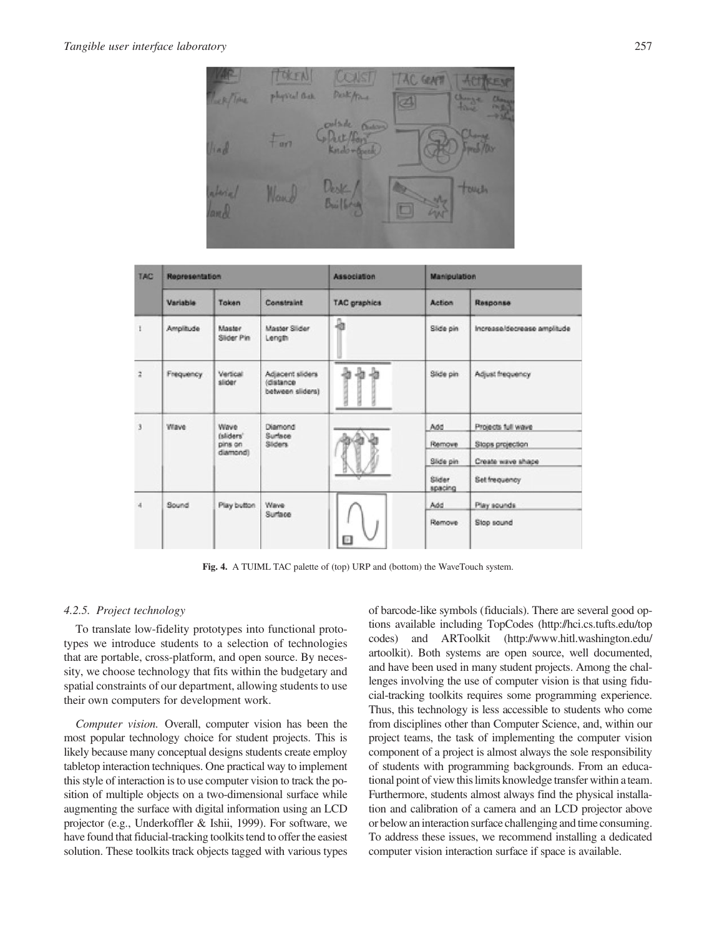**GEART** al dis

| <b>TAC</b>     | Representation                                          |                      | <b>Association</b>                                 | <b>Manipulation</b> |                    |                             |
|----------------|---------------------------------------------------------|----------------------|----------------------------------------------------|---------------------|--------------------|-----------------------------|
|                | Variable                                                | Token                | Constraint                                         | <b>TAC graphics</b> | Action             | Response                    |
|                | Amplitude                                               | Master<br>Slider Pin | Master Slider<br>Length                            | å                   | Slide pin          | Increase/decrease amplitude |
| $\overline{z}$ | Frequency                                               | Vertical<br>slider   | Adjacent sliders<br>(distance)<br>between sliders) |                     | Slide pin          | Adjust frequency            |
| 3              | <b>Wave</b><br>Wave<br>(sliders'<br>pins on<br>diamond) | Diamond              |                                                    | Add                 | Projects full wave |                             |
|                |                                                         |                      | Surface<br>Sliders                                 |                     | Remove             | Stops projection            |
|                |                                                         |                      |                                                    |                     | Slide pin          | Create wave shape           |
|                |                                                         |                      |                                                    |                     | Slider<br>spacing  | Set frequency               |
|                | Sound                                                   | Play button          | Waye                                               |                     | Add                | Play sounds                 |
|                |                                                         | Surface              | $\sim$                                             | Remove              | Stop sound         |                             |

Fig. 4. A TUIML TAC palette of (top) URP and (bottom) the WaveTouch system.

# 4.2.5. Project technology

To translate low-fidelity prototypes into functional prototypes we introduce students to a selection of technologies that are portable, cross-platform, and open source. By necessity, we choose technology that fits within the budgetary and spatial constraints of our department, allowing students to use their own computers for development work.

Computer vision. Overall, computer vision has been the most popular technology choice for student projects. This is likely because many conceptual designs students create employ tabletop interaction techniques. One practical way to implement this style of interaction is to use computer vision to track the position of multiple objects on a two-dimensional surface while augmenting the surface with digital information using an LCD projector (e.g., Underkoffler & Ishii, 1999). For software, we have found that fiducial-tracking toolkits tend to offer the easiest solution. These toolkits track objects tagged with various types

of barcode-like symbols (fiducials). There are several good options available including TopCodes (http://hci.cs.tufts.edu/top codes) and ARToolkit (http://www.hitl.washington.edu/ artoolkit). Both systems are open source, well documented, and have been used in many student projects. Among the challenges involving the use of computer vision is that using fiducial-tracking toolkits requires some programming experience. Thus, this technology is less accessible to students who come from disciplines other than Computer Science, and, within our project teams, the task of implementing the computer vision component of a project is almost always the sole responsibility of students with programming backgrounds. From an educational point of view this limits knowledge transfer within a team. Furthermore, students almost always find the physical installation and calibration of a camera and an LCD projector above or belowan interaction surface challenging and time consuming. To address these issues, we recommend installing a dedicated computer vision interaction surface if space is available.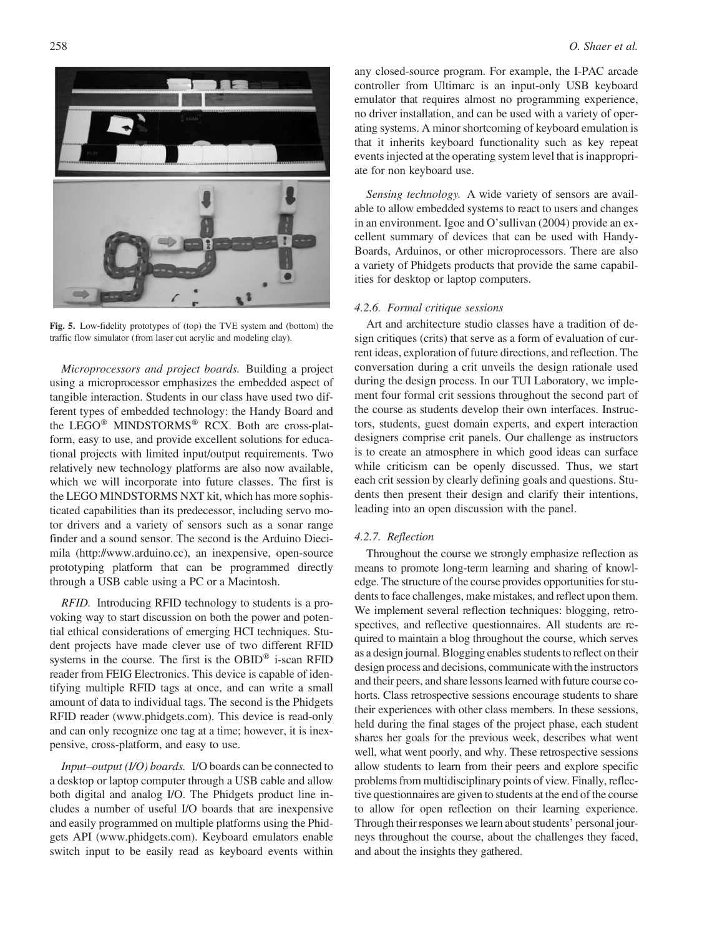

Fig. 5. Low-fidelity prototypes of (top) the TVE system and (bottom) the traffic flow simulator (from laser cut acrylic and modeling clay).

Microprocessors and project boards. Building a project using a microprocessor emphasizes the embedded aspect of tangible interaction. Students in our class have used two different types of embedded technology: the Handy Board and the LEGO<sup>®</sup> MINDSTORMS<sup>®</sup> RCX. Both are cross-platform, easy to use, and provide excellent solutions for educational projects with limited input/output requirements. Two relatively new technology platforms are also now available, which we will incorporate into future classes. The first is the LEGO MINDSTORMS NXT kit, which has more sophisticated capabilities than its predecessor, including servo motor drivers and a variety of sensors such as a sonar range finder and a sound sensor. The second is the Arduino Diecimila (http://www.arduino.cc), an inexpensive, open-source prototyping platform that can be programmed directly through a USB cable using a PC or a Macintosh.

RFID. Introducing RFID technology to students is a provoking way to start discussion on both the power and potential ethical considerations of emerging HCI techniques. Student projects have made clever use of two different RFID systems in the course. The first is the OBID $^{\circledR}$  i-scan RFID reader from FEIG Electronics. This device is capable of identifying multiple RFID tags at once, and can write a small amount of data to individual tags. The second is the Phidgets RFID reader (www.phidgets.com). This device is read-only and can only recognize one tag at a time; however, it is inexpensive, cross-platform, and easy to use.

Input–output (I/O) boards. I/O boards can be connected to a desktop or laptop computer through a USB cable and allow both digital and analog I/O. The Phidgets product line includes a number of useful I/O boards that are inexpensive and easily programmed on multiple platforms using the Phidgets API (www.phidgets.com). Keyboard emulators enable switch input to be easily read as keyboard events within

any closed-source program. For example, the I-PAC arcade controller from Ultimarc is an input-only USB keyboard emulator that requires almost no programming experience, no driver installation, and can be used with a variety of operating systems. A minor shortcoming of keyboard emulation is that it inherits keyboard functionality such as key repeat events injected at the operating system level that is inappropriate for non keyboard use.

Sensing technology. A wide variety of sensors are available to allow embedded systems to react to users and changes in an environment. Igoe and O'sullivan (2004) provide an excellent summary of devices that can be used with Handy-Boards, Arduinos, or other microprocessors. There are also a variety of Phidgets products that provide the same capabilities for desktop or laptop computers.

#### 4.2.6. Formal critique sessions

Art and architecture studio classes have a tradition of design critiques (crits) that serve as a form of evaluation of current ideas, exploration of future directions, and reflection. The conversation during a crit unveils the design rationale used during the design process. In our TUI Laboratory, we implement four formal crit sessions throughout the second part of the course as students develop their own interfaces. Instructors, students, guest domain experts, and expert interaction designers comprise crit panels. Our challenge as instructors is to create an atmosphere in which good ideas can surface while criticism can be openly discussed. Thus, we start each crit session by clearly defining goals and questions. Students then present their design and clarify their intentions, leading into an open discussion with the panel.

#### 4.2.7. Reflection

Throughout the course we strongly emphasize reflection as means to promote long-term learning and sharing of knowledge. The structure of the course provides opportunities for students to face challenges, make mistakes, and reflect upon them. We implement several reflection techniques: blogging, retrospectives, and reflective questionnaires. All students are required to maintain a blog throughout the course, which serves as a design journal. Blogging enables students to reflect on their design process and decisions, communicate with the instructors and their peers, and share lessons learned with future course cohorts. Class retrospective sessions encourage students to share their experiences with other class members. In these sessions, held during the final stages of the project phase, each student shares her goals for the previous week, describes what went well, what went poorly, and why. These retrospective sessions allow students to learn from their peers and explore specific problems from multidisciplinary points of view. Finally, reflective questionnaires are given to students at the end of the course to allow for open reflection on their learning experience. Through their responses we learn about students' personal journeys throughout the course, about the challenges they faced, and about the insights they gathered.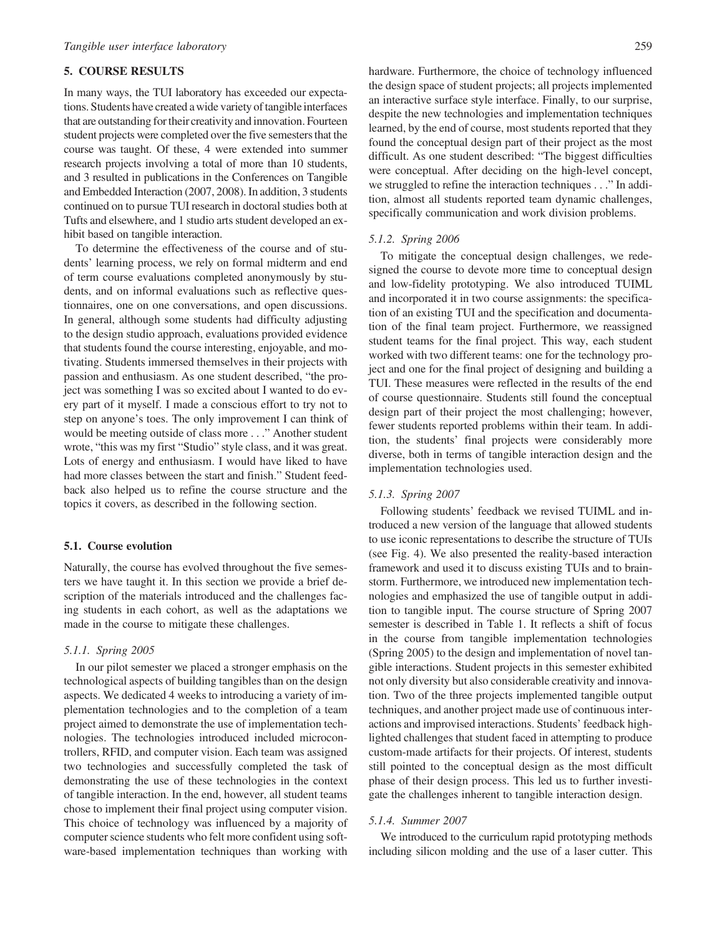# 5. COURSE RESULTS

In many ways, the TUI laboratory has exceeded our expectations. Students have created a wide variety of tangible interfaces that are outstanding for their creativity and innovation. Fourteen student projects were completed over the five semesters that the course was taught. Of these, 4 were extended into summer research projects involving a total of more than 10 students, and 3 resulted in publications in the Conferences on Tangible and Embedded Interaction (2007, 2008). In addition, 3 students continued on to pursue TUI research in doctoral studies both at Tufts and elsewhere, and 1 studio arts student developed an exhibit based on tangible interaction.

To determine the effectiveness of the course and of students' learning process, we rely on formal midterm and end of term course evaluations completed anonymously by students, and on informal evaluations such as reflective questionnaires, one on one conversations, and open discussions. In general, although some students had difficulty adjusting to the design studio approach, evaluations provided evidence that students found the course interesting, enjoyable, and motivating. Students immersed themselves in their projects with passion and enthusiasm. As one student described, "the project was something I was so excited about I wanted to do every part of it myself. I made a conscious effort to try not to step on anyone's toes. The only improvement I can think of would be meeting outside of class more . . ." Another student wrote, "this was my first "Studio" style class, and it was great. Lots of energy and enthusiasm. I would have liked to have had more classes between the start and finish." Student feedback also helped us to refine the course structure and the topics it covers, as described in the following section.

## 5.1. Course evolution

Naturally, the course has evolved throughout the five semesters we have taught it. In this section we provide a brief description of the materials introduced and the challenges facing students in each cohort, as well as the adaptations we made in the course to mitigate these challenges.

#### 5.1.1. Spring 2005

In our pilot semester we placed a stronger emphasis on the technological aspects of building tangibles than on the design aspects. We dedicated 4 weeks to introducing a variety of implementation technologies and to the completion of a team project aimed to demonstrate the use of implementation technologies. The technologies introduced included microcontrollers, RFID, and computer vision. Each team was assigned two technologies and successfully completed the task of demonstrating the use of these technologies in the context of tangible interaction. In the end, however, all student teams chose to implement their final project using computer vision. This choice of technology was influenced by a majority of computer science students who felt more confident using software-based implementation techniques than working with

hardware. Furthermore, the choice of technology influenced the design space of student projects; all projects implemented an interactive surface style interface. Finally, to our surprise, despite the new technologies and implementation techniques learned, by the end of course, most students reported that they found the conceptual design part of their project as the most difficult. As one student described: "The biggest difficulties were conceptual. After deciding on the high-level concept, we struggled to refine the interaction techniques . . ." In addition, almost all students reported team dynamic challenges, specifically communication and work division problems.

#### 5.1.2. Spring 2006

To mitigate the conceptual design challenges, we redesigned the course to devote more time to conceptual design and low-fidelity prototyping. We also introduced TUIML and incorporated it in two course assignments: the specification of an existing TUI and the specification and documentation of the final team project. Furthermore, we reassigned student teams for the final project. This way, each student worked with two different teams: one for the technology project and one for the final project of designing and building a TUI. These measures were reflected in the results of the end of course questionnaire. Students still found the conceptual design part of their project the most challenging; however, fewer students reported problems within their team. In addition, the students' final projects were considerably more diverse, both in terms of tangible interaction design and the implementation technologies used.

#### 5.1.3. Spring 2007

Following students' feedback we revised TUIML and introduced a new version of the language that allowed students to use iconic representations to describe the structure of TUIs (see Fig. 4). We also presented the reality-based interaction framework and used it to discuss existing TUIs and to brainstorm. Furthermore, we introduced new implementation technologies and emphasized the use of tangible output in addition to tangible input. The course structure of Spring 2007 semester is described in Table 1. It reflects a shift of focus in the course from tangible implementation technologies (Spring 2005) to the design and implementation of novel tangible interactions. Student projects in this semester exhibited not only diversity but also considerable creativity and innovation. Two of the three projects implemented tangible output techniques, and another project made use of continuous interactions and improvised interactions. Students' feedback highlighted challenges that student faced in attempting to produce custom-made artifacts for their projects. Of interest, students still pointed to the conceptual design as the most difficult phase of their design process. This led us to further investigate the challenges inherent to tangible interaction design.

### 5.1.4. Summer 2007

We introduced to the curriculum rapid prototyping methods including silicon molding and the use of a laser cutter. This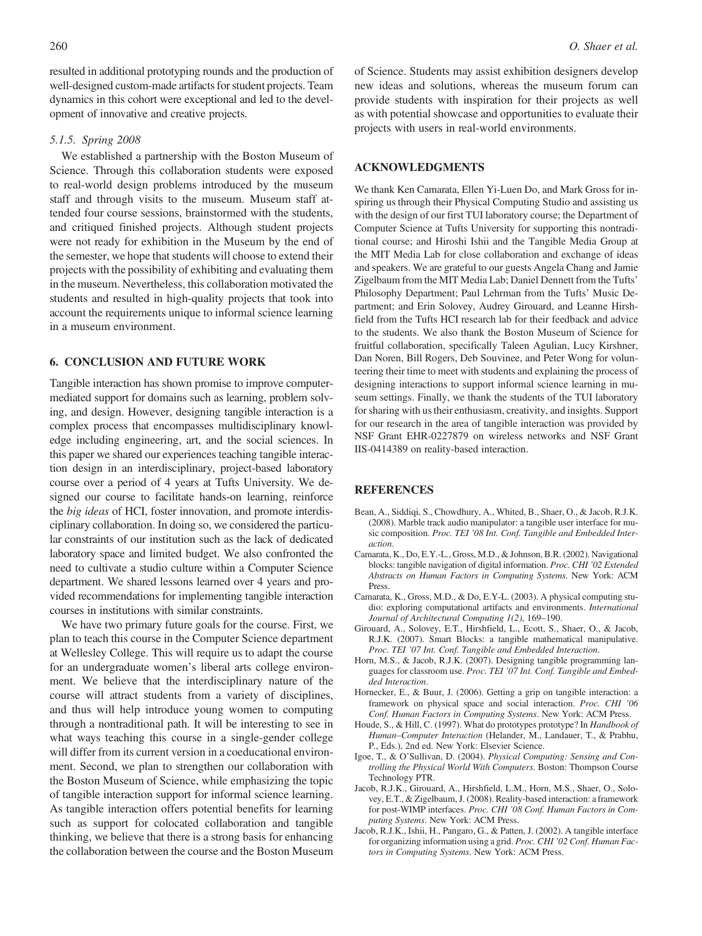resulted in additional prototyping rounds and the production of well-designed custom-made artifacts for student projects. Team dynamics in this cohort were exceptional and led to the development of innovative and creative projects.

#### 5.1.5. Spring 2008

We established a partnership with the Boston Museum of Science. Through this collaboration students were exposed to real-world design problems introduced by the museum staff and through visits to the museum. Museum staff attended four course sessions, brainstormed with the students, and critiqued finished projects. Although student projects were not ready for exhibition in the Museum by the end of the semester, we hope that students will choose to extend their projects with the possibility of exhibiting and evaluating them in the museum. Nevertheless, this collaboration motivated the students and resulted in high-quality projects that took into account the requirements unique to informal science learning in a museum environment.

## 6. CONCLUSION AND FUTURE WORK

Tangible interaction has shown promise to improve computermediated support for domains such as learning, problem solving, and design. However, designing tangible interaction is a complex process that encompasses multidisciplinary knowledge including engineering, art, and the social sciences. In this paper we shared our experiences teaching tangible interaction design in an interdisciplinary, project-based laboratory course over a period of 4 years at Tufts University. We designed our course to facilitate hands-on learning, reinforce the big ideas of HCI, foster innovation, and promote interdisciplinary collaboration. In doing so, we considered the particular constraints of our institution such as the lack of dedicated laboratory space and limited budget. We also confronted the need to cultivate a studio culture within a Computer Science department. We shared lessons learned over 4 years and provided recommendations for implementing tangible interaction courses in institutions with similar constraints.

We have two primary future goals for the course. First, we plan to teach this course in the Computer Science department at Wellesley College. This will require us to adapt the course for an undergraduate women's liberal arts college environment. We believe that the interdisciplinary nature of the course will attract students from a variety of disciplines, and thus will help introduce young women to computing through a nontraditional path. It will be interesting to see in what ways teaching this course in a single-gender college will differ from its current version in a coeducational environment. Second, we plan to strengthen our collaboration with the Boston Museum of Science, while emphasizing the topic of tangible interaction support for informal science learning. As tangible interaction offers potential benefits for learning such as support for colocated collaboration and tangible thinking, we believe that there is a strong basis for enhancing the collaboration between the course and the Boston Museum

of Science. Students may assist exhibition designers develop new ideas and solutions, whereas the museum forum can provide students with inspiration for their projects as well as with potential showcase and opportunities to evaluate their projects with users in real-world environments.

## ACKNOWLEDGMENTS

We thank Ken Camarata, Ellen Yi-Luen Do, and Mark Gross for inspiring us through their Physical Computing Studio and assisting us with the design of our first TUI laboratory course; the Department of Computer Science at Tufts University for supporting this nontraditional course; and Hiroshi Ishii and the Tangible Media Group at the MIT Media Lab for close collaboration and exchange of ideas and speakers. We are grateful to our guests Angela Chang and Jamie Zigelbaum from the MIT Media Lab; Daniel Dennett from the Tufts' Philosophy Department; Paul Lehrman from the Tufts' Music Department; and Erin Solovey, Audrey Girouard, and Leanne Hirshfield from the Tufts HCI research lab for their feedback and advice to the students. We also thank the Boston Museum of Science for fruitful collaboration, specifically Taleen Agulian, Lucy Kirshner, Dan Noren, Bill Rogers, Deb Souvinee, and Peter Wong for volunteering their time to meet with students and explaining the process of designing interactions to support informal science learning in museum settings. Finally, we thank the students of the TUI laboratory for sharing with us their enthusiasm, creativity, and insights. Support for our research in the area of tangible interaction was provided by NSF Grant EHR-0227879 on wireless networks and NSF Grant IIS-0414389 on reality-based interaction.

## **REFERENCES**

- Bean, A., Siddiqi, S., Chowdhury, A., Whited, B., Shaer, O., & Jacob, R.J.K. (2008). Marble track audio manipulator: a tangible user interface for music composition. Proc. TEI '08 Int. Conf. Tangible and Embedded Interaction.
- Camarata, K., Do, E.Y.-L., Gross, M.D., & Johnson, B.R. (2002). Navigational blocks: tangible navigation of digital information. Proc. CHI '02 Extended Abstracts on Human Factors in Computing Systems. New York: ACM Press.
- Camarata, K., Gross, M.D., & Do, E.Y-L. (2003). A physical computing studio: exploring computational artifacts and environments. International Journal of Architectural Computing 1(2), 169–190.
- Girouard, A., Solovey, E.T., Hirshfield, L., Ecott, S., Shaer, O., & Jacob, R.J.K. (2007). Smart Blocks: a tangible mathematical manipulative. Proc. TEI '07 Int. Conf. Tangible and Embedded Interaction.
- Horn, M.S., & Jacob, R.J.K. (2007). Designing tangible programming languages for classroom use. Proc. TEI '07 Int. Conf. Tangible and Embedded Interaction.
- Hornecker, E., & Buur, J. (2006). Getting a grip on tangible interaction: a framework on physical space and social interaction. Proc. CHI '06 Conf. Human Factors in Computing Systems. New York: ACM Press.
- Houde, S., & Hill, C. (1997). What do prototypes prototype? In Handbook of Human–Computer Interaction (Helander, M., Landauer, T., & Prabhu, P., Eds.), 2nd ed. New York: Elsevier Science.
- Igoe, T., & O'Sullivan, D. (2004). Physical Computing: Sensing and Controlling the Physical World With Computers. Boston: Thompson Course Technology PTR.
- Jacob, R.J.K., Girouard, A., Hirshfield, L.M., Horn, M.S., Shaer, O., Solovey, E.T., & Zigelbaum, J. (2008). Reality-based interaction: a framework for post-WIMP interfaces. Proc. CHI '08 Conf. Human Factors in Computing Systems. New York: ACM Press.
- Jacob, R.J.K., Ishii, H., Pangaro, G., & Patten, J. (2002). A tangible interface for organizing information using a grid. Proc. CHI '02 Conf. Human Factors in Computing Systems. New York: ACM Press.